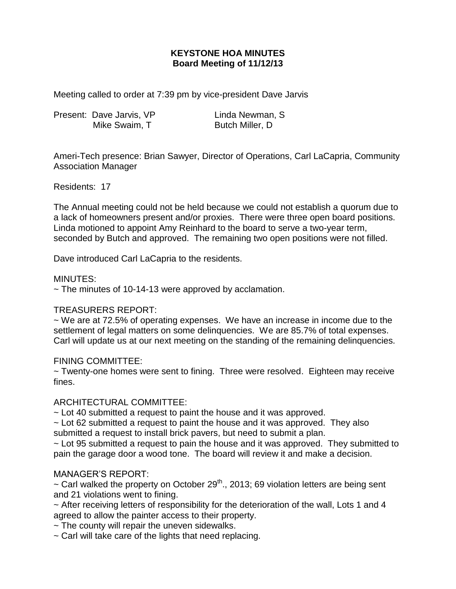# **KEYSTONE HOA MINUTES Board Meeting of 11/12/13**

Meeting called to order at 7:39 pm by vice-president Dave Jarvis

| Present: Dave Jarvis, VP | Linda Newman, S |
|--------------------------|-----------------|
| Mike Swaim, T            | Butch Miller, D |

Ameri-Tech presence: Brian Sawyer, Director of Operations, Carl LaCapria, Community Association Manager

Residents: 17

The Annual meeting could not be held because we could not establish a quorum due to a lack of homeowners present and/or proxies. There were three open board positions. Linda motioned to appoint Amy Reinhard to the board to serve a two-year term, seconded by Butch and approved. The remaining two open positions were not filled.

Dave introduced Carl LaCapria to the residents.

### MINUTES:

 $\sim$  The minutes of 10-14-13 were approved by acclamation.

### TREASURERS REPORT:

~ We are at 72.5% of operating expenses. We have an increase in income due to the settlement of legal matters on some delinquencies. We are 85.7% of total expenses. Carl will update us at our next meeting on the standing of the remaining delinquencies.

### FINING COMMITTEE:

~ Twenty-one homes were sent to fining. Three were resolved. Eighteen may receive fines.

### ARCHITECTURAL COMMITTEE:

~ Lot 40 submitted a request to paint the house and it was approved.

 $\sim$  Lot 62 submitted a request to paint the house and it was approved. They also submitted a request to install brick pavers, but need to submit a plan.

 $\sim$  Lot 95 submitted a request to pain the house and it was approved. They submitted to pain the garage door a wood tone. The board will review it and make a decision.

### MANAGER'S REPORT:

 $\sim$  Carl walked the property on October 29<sup>th</sup>., 2013; 69 violation letters are being sent and 21 violations went to fining.

 $\sim$  After receiving letters of responsibility for the deterioration of the wall, Lots 1 and 4 agreed to allow the painter access to their property.

 $\sim$  The county will repair the uneven sidewalks.

~ Carl will take care of the lights that need replacing.